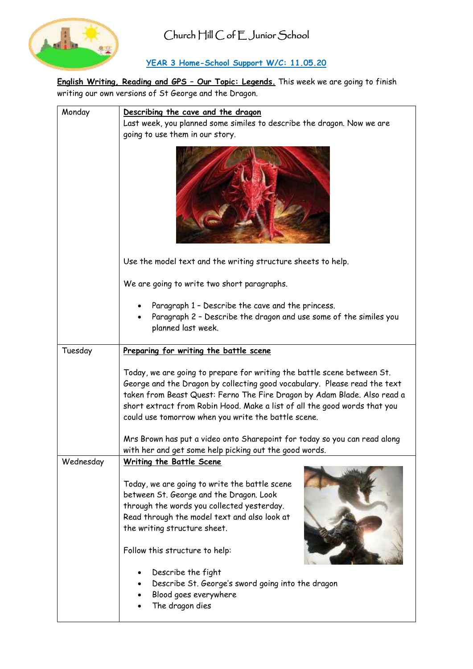

# **YEAR 3 Home-School Support W/C: 11.05.20**

**English Writing, Reading and GPS – Our Topic: Legends.** This week we are going to finish writing our own versions of St George and the Dragon.

| Monday    | Describing the cave and the dragon                                                                                                                                                                                                                                                                                                                                   |
|-----------|----------------------------------------------------------------------------------------------------------------------------------------------------------------------------------------------------------------------------------------------------------------------------------------------------------------------------------------------------------------------|
|           | Last week, you planned some similes to describe the dragon. Now we are                                                                                                                                                                                                                                                                                               |
|           | going to use them in our story.                                                                                                                                                                                                                                                                                                                                      |
|           |                                                                                                                                                                                                                                                                                                                                                                      |
|           | Use the model text and the writing structure sheets to help.                                                                                                                                                                                                                                                                                                         |
|           | We are going to write two short paragraphs.                                                                                                                                                                                                                                                                                                                          |
|           | Paragraph 1 - Describe the cave and the princess.<br>Paragraph 2 - Describe the dragon and use some of the similes you<br>planned last week.                                                                                                                                                                                                                         |
|           |                                                                                                                                                                                                                                                                                                                                                                      |
| Tuesday   | Preparing for writing the battle scene                                                                                                                                                                                                                                                                                                                               |
|           | Today, we are going to prepare for writing the battle scene between St.<br>George and the Dragon by collecting good vocabulary. Please read the text<br>taken from Beast Quest: Ferno The Fire Dragon by Adam Blade. Also read a<br>short extract from Robin Hood. Make a list of all the good words that you<br>could use tomorrow when you write the battle scene. |
|           | Mrs Brown has put a video onto Sharepoint for today so you can read along<br>with her and get some help picking out the good words.                                                                                                                                                                                                                                  |
| Wednesday |                                                                                                                                                                                                                                                                                                                                                                      |
|           | <u> Writing the Battle Scene</u><br>Today, we are going to write the battle scene<br>between St. George and the Dragon. Look<br>through the words you collected yesterday.<br>Read through the model text and also look at<br>the writing structure sheet.                                                                                                           |
|           | Follow this structure to help:                                                                                                                                                                                                                                                                                                                                       |
|           | Describe the fight                                                                                                                                                                                                                                                                                                                                                   |
|           | Describe St. George's sword going into the dragon                                                                                                                                                                                                                                                                                                                    |
|           | Blood goes everywhere                                                                                                                                                                                                                                                                                                                                                |
|           | The dragon dies                                                                                                                                                                                                                                                                                                                                                      |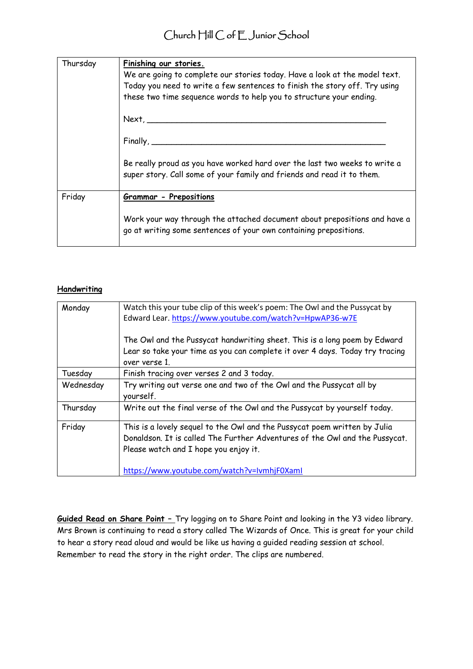| Thursday | Finishing our stories.<br>We are going to complete our stories today. Have a look at the model text.<br>Today you need to write a few sentences to finish the story off. Try using<br>these two time sequence words to help you to structure your ending.<br>$Next, \_\_$<br>$Finally, \_\_$ |
|----------|----------------------------------------------------------------------------------------------------------------------------------------------------------------------------------------------------------------------------------------------------------------------------------------------|
|          | Be really proud as you have worked hard over the last two weeks to write a<br>super story. Call some of your family and friends and read it to them.                                                                                                                                         |
| Friday   | <b>Grammar - Prepositions</b>                                                                                                                                                                                                                                                                |
|          | Work your way through the attached document about prepositions and have a<br>go at writing some sentences of your own containing prepositions.                                                                                                                                               |

#### **Handwriting**

| Monday    | Watch this your tube clip of this week's poem: The Owl and the Pussycat by<br>Edward Lear. https://www.youtube.com/watch?v=HpwAP36-w7E                                                                                                           |
|-----------|--------------------------------------------------------------------------------------------------------------------------------------------------------------------------------------------------------------------------------------------------|
|           | The Owl and the Pussycat handwriting sheet. This is a long poem by Edward<br>Lear so take your time as you can complete it over 4 days. Today try tracing<br>over verse 1.                                                                       |
| Tuesday   | Finish tracing over verses 2 and 3 today.                                                                                                                                                                                                        |
| Wednesday | Try writing out verse one and two of the Owl and the Pussycat all by<br>yourself.                                                                                                                                                                |
| Thursday  | Write out the final verse of the Owl and the Pussycat by yourself today.                                                                                                                                                                         |
| Friday    | This is a lovely sequel to the Owl and the Pussycat poem written by Julia<br>Donaldson. It is called The Further Adventures of the Owl and the Pussycat.<br>Please watch and I hope you enjoy it.<br>https://www.youtube.com/watch?v=IvmhjF0XamI |

**Guided Read on Share Point –** Try logging on to Share Point and looking in the Y3 video library. Mrs Brown is continuing to read a story called The Wizards of Once. This is great for your child to hear a story read aloud and would be like us having a guided reading session at school. Remember to read the story in the right order. The clips are numbered.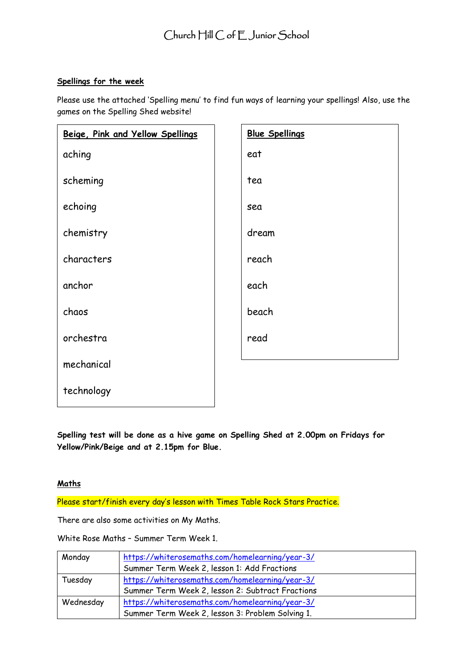## **Spellings for the week**

Please use the attached 'Spelling menu' to find fun ways of learning your spellings! Also, use the games on the Spelling Shed website!

| Beige, Pink and Yellow Spellings | <b>Blue Spellings</b> |
|----------------------------------|-----------------------|
| aching                           | eat                   |
| scheming                         | tea                   |
| echoing                          | sea                   |
| chemistry                        | dream                 |
| characters                       | reach                 |
| anchor                           | each                  |
| chaos                            | beach                 |
| orchestra                        | read                  |
| mechanical                       |                       |
| technology                       |                       |

**Spelling test will be done as a hive game on Spelling Shed at 2.00pm on Fridays for Yellow/Pink/Beige and at 2.15pm for Blue.**

#### **Maths**

Please start/finish every day's lesson with Times Table Rock Stars Practice.

There are also some activities on My Maths.

White Rose Maths – Summer Term Week 1.

| Monday    | https://whiterosemaths.com/homelearning/year-3/  |
|-----------|--------------------------------------------------|
|           | Summer Term Week 2, lesson 1: Add Fractions      |
| Tuesday   | https://whiterosemaths.com/homelearning/year-3/  |
|           | Summer Term Week 2, lesson 2: Subtract Fractions |
| Wednesday | https://whiterosemaths.com/homelearning/year-3/  |
|           | Summer Term Week 2, lesson 3: Problem Solving 1. |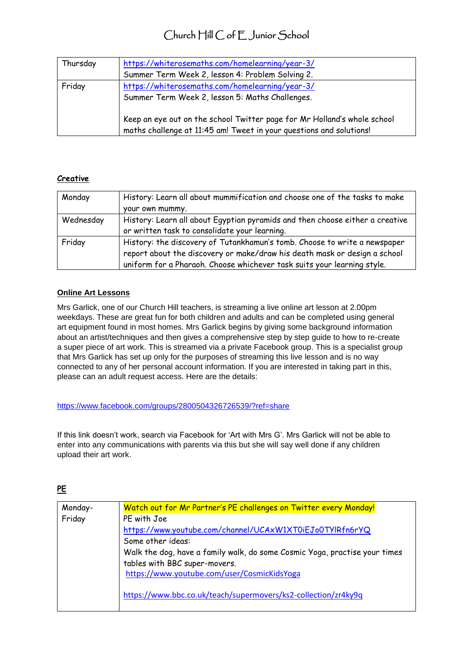# Church Hill C of E Junior School

| Thursday | https://whiterosemaths.com/homelearning/year-3/<br>Summer Term Week 2, lesson 4: Problem Solving 2.                                                                                                                                                   |
|----------|-------------------------------------------------------------------------------------------------------------------------------------------------------------------------------------------------------------------------------------------------------|
| Friday   | https://whiterosemaths.com/homelearning/year-3/<br>Summer Term Week 2, lesson 5: Maths Challenges.<br>Keep an eye out on the school Twitter page for Mr Holland's whole school<br>maths challenge at 11:45 am! Tweet in your questions and solutions! |

## **Creative**

| Monday    | History: Learn all about mummification and choose one of the tasks to make<br>your own mummy.                                                                                                                                     |
|-----------|-----------------------------------------------------------------------------------------------------------------------------------------------------------------------------------------------------------------------------------|
| Wednesday | History: Learn all about Egyptian pyramids and then choose either a creative<br>or written task to consolidate your learning.                                                                                                     |
| Friday    | History: the discovery of Tutankhamun's tomb. Choose to write a newspaper<br>report about the discovery or make/draw his death mask or design a school<br>uniform for a Pharaoh. Choose whichever task suits your learning style. |

#### **Online Art Lessons**

Mrs Garlick, one of our Church Hill teachers, is streaming a live online art lesson at 2.00pm weekdays. These are great fun for both children and adults and can be completed using general art equipment found in most homes. Mrs Garlick begins by giving some background information about an artist/techniques and then gives a comprehensive step by step guide to how to re-create a super piece of art work. This is streamed via a private Facebook group. This is a specialist group that Mrs Garlick has set up only for the purposes of streaming this live lesson and is no way connected to any of her personal account information. If you are interested in taking part in this, please can an adult request access. Here are the details:

#### <https://www.facebook.com/groups/2800504326726539/?ref=share>

If this link doesn't work, search via Facebook for 'Art with Mrs G'. Mrs Garlick will not be able to enter into any communications with parents via this but she will say well done if any children upload their art work.

# **PE**

| Monday- | Watch out for Mr Partner's PE challenges on Twitter every Monday!          |
|---------|----------------------------------------------------------------------------|
| Friday  | PE with Joe                                                                |
|         | https://www.youtube.com/channel/UCAxW1XT0iEJo0TYIRfn6rYQ                   |
|         | Some other ideas:                                                          |
|         | Walk the dog, have a family walk, do some Cosmic Yoga, practise your times |
|         | tables with BBC super-movers.                                              |
|         | https://www.youtube.com/user/CosmicKidsYoga                                |
|         |                                                                            |
|         | https://www.bbc.co.uk/teach/supermovers/ks2-collection/zr4ky9q             |
|         |                                                                            |